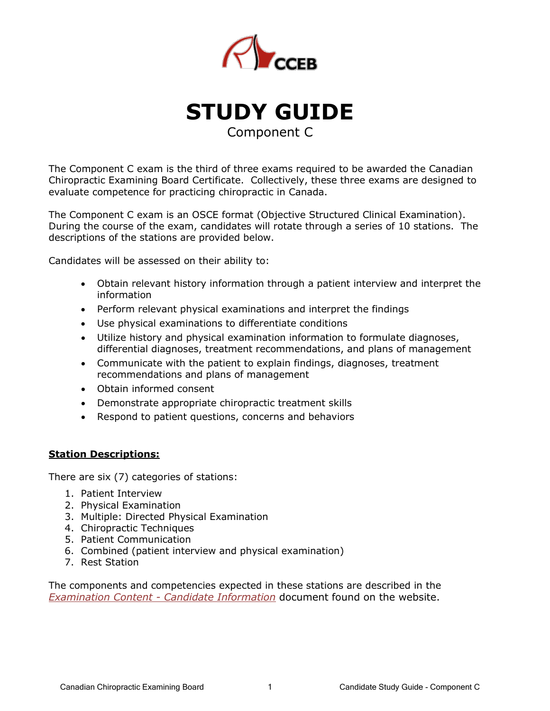

**STUDY GUIDE** Component C

The Component C exam is the third of three exams required to be awarded the Canadian Chiropractic Examining Board Certificate. Collectively, these three exams are designed to evaluate competence for practicing chiropractic in Canada.

The Component C exam is an OSCE format (Objective Structured Clinical Examination). During the course of the exam, candidates will rotate through a series of 10 stations. The descriptions of the stations are provided below.

Candidates will be assessed on their ability to:

- Obtain relevant history information through a patient interview and interpret the information
- Perform relevant physical examinations and interpret the findings
- Use physical examinations to differentiate conditions
- Utilize history and physical examination information to formulate diagnoses, differential diagnoses, treatment recommendations, and plans of management
- Communicate with the patient to explain findings, diagnoses, treatment recommendations and plans of management
- Obtain informed consent
- Demonstrate appropriate chiropractic treatment skills
- Respond to patient questions, concerns and behaviors

# **Station Descriptions:**

There are six (7) categories of stations:

- 1. Patient Interview
- 2. Physical Examination
- 3. Multiple: Directed Physical Examination
- 4. Chiropractic Techniques
- 5. Patient Communication
- 6. Combined (patient interview and physical examination)
- 7. Rest Station

The components and competencies expected in these stations are described in the *Examination Content - Candidate Information* document found on the website.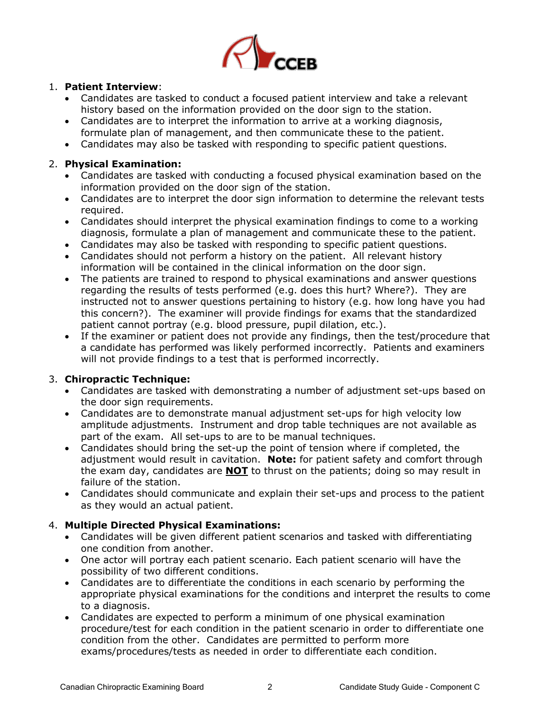

#### 1. **Patient Interview**:

- Candidates are tasked to conduct a focused patient interview and take a relevant history based on the information provided on the door sign to the station.
- Candidates are to interpret the information to arrive at a working diagnosis, formulate plan of management, and then communicate these to the patient.
- Candidates may also be tasked with responding to specific patient questions.

#### 2. **Physical Examination:**

- Candidates are tasked with conducting a focused physical examination based on the information provided on the door sign of the station.
- Candidates are to interpret the door sign information to determine the relevant tests required.
- Candidates should interpret the physical examination findings to come to a working diagnosis, formulate a plan of management and communicate these to the patient.
- Candidates may also be tasked with responding to specific patient questions.
- Candidates should not perform a history on the patient. All relevant history information will be contained in the clinical information on the door sign.
- The patients are trained to respond to physical examinations and answer questions regarding the results of tests performed (e.g. does this hurt? Where?). They are instructed not to answer questions pertaining to history (e.g. how long have you had this concern?). The examiner will provide findings for exams that the standardized patient cannot portray (e.g. blood pressure, pupil dilation, etc.).
- If the examiner or patient does not provide any findings, then the test/procedure that a candidate has performed was likely performed incorrectly. Patients and examiners will not provide findings to a test that is performed incorrectly.

# 3. **Chiropractic Technique:**

- Candidates are tasked with demonstrating a number of adjustment set-ups based on the door sign requirements.
- Candidates are to demonstrate manual adjustment set-ups for high velocity low amplitude adjustments. Instrument and drop table techniques are not available as part of the exam. All set-ups to are to be manual techniques.
- Candidates should bring the set-up the point of tension where if completed, the adjustment would result in cavitation. **Note:** for patient safety and comfort through the exam day, candidates are **NOT** to thrust on the patients; doing so may result in failure of the station.
- Candidates should communicate and explain their set-ups and process to the patient as they would an actual patient.

# 4. **Multiple Directed Physical Examinations:**

- Candidates will be given different patient scenarios and tasked with differentiating one condition from another.
- One actor will portray each patient scenario. Each patient scenario will have the possibility of two different conditions.
- Candidates are to differentiate the conditions in each scenario by performing the appropriate physical examinations for the conditions and interpret the results to come to a diagnosis.
- Candidates are expected to perform a minimum of one physical examination procedure/test for each condition in the patient scenario in order to differentiate one condition from the other. Candidates are permitted to perform more exams/procedures/tests as needed in order to differentiate each condition.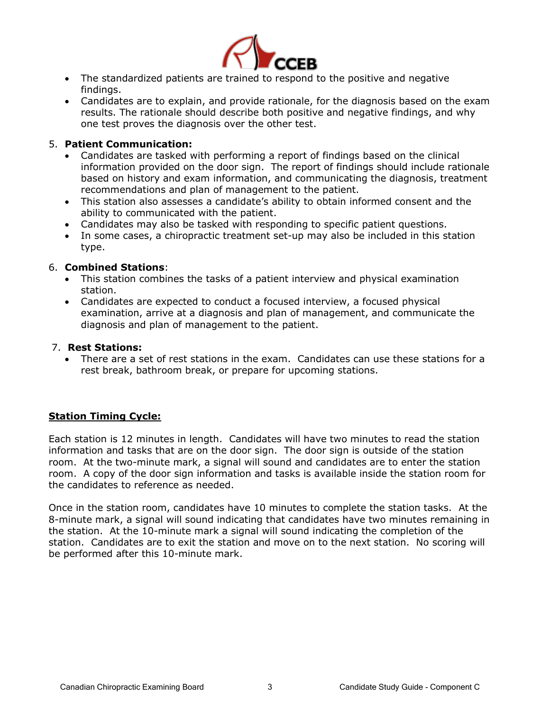

- The standardized patients are trained to respond to the positive and negative findings.
- Candidates are to explain, and provide rationale, for the diagnosis based on the exam results. The rationale should describe both positive and negative findings, and why one test proves the diagnosis over the other test.

# 5. **Patient Communication:**

- Candidates are tasked with performing a report of findings based on the clinical information provided on the door sign. The report of findings should include rationale based on history and exam information, and communicating the diagnosis, treatment recommendations and plan of management to the patient.
- This station also assesses a candidate's ability to obtain informed consent and the ability to communicated with the patient.
- Candidates may also be tasked with responding to specific patient questions.
- In some cases, a chiropractic treatment set-up may also be included in this station type.

#### 6. **Combined Stations**:

- This station combines the tasks of a patient interview and physical examination station.
- Candidates are expected to conduct a focused interview, a focused physical examination, arrive at a diagnosis and plan of management, and communicate the diagnosis and plan of management to the patient.

#### 7. **Rest Stations:**

There are a set of rest stations in the exam. Candidates can use these stations for a rest break, bathroom break, or prepare for upcoming stations.

# **Station Timing Cycle:**

Each station is 12 minutes in length. Candidates will have two minutes to read the station information and tasks that are on the door sign. The door sign is outside of the station room. At the two-minute mark, a signal will sound and candidates are to enter the station room. A copy of the door sign information and tasks is available inside the station room for the candidates to reference as needed.

Once in the station room, candidates have 10 minutes to complete the station tasks. At the 8-minute mark, a signal will sound indicating that candidates have two minutes remaining in the station. At the 10-minute mark a signal will sound indicating the completion of the station. Candidates are to exit the station and move on to the next station. No scoring will be performed after this 10-minute mark.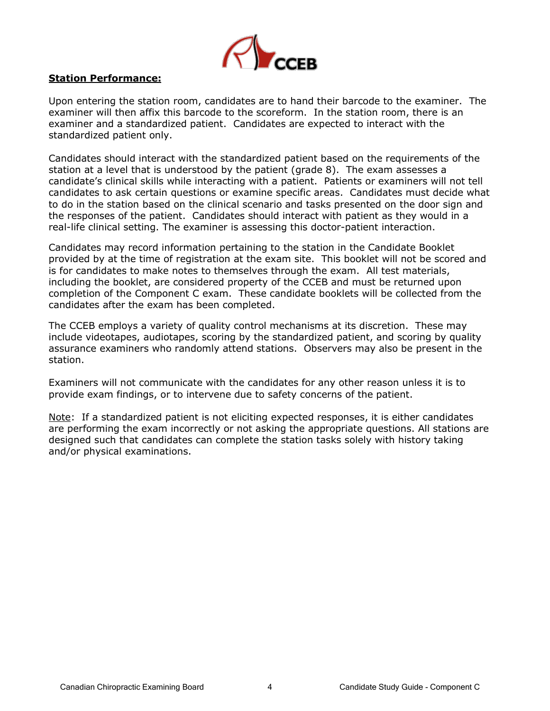

# **Station Performance:**

Upon entering the station room, candidates are to hand their barcode to the examiner. The examiner will then affix this barcode to the scoreform. In the station room, there is an examiner and a standardized patient. Candidates are expected to interact with the standardized patient only.

Candidates should interact with the standardized patient based on the requirements of the station at a level that is understood by the patient (grade 8). The exam assesses a candidate's clinical skills while interacting with a patient. Patients or examiners will not tell candidates to ask certain questions or examine specific areas. Candidates must decide what to do in the station based on the clinical scenario and tasks presented on the door sign and the responses of the patient. Candidates should interact with patient as they would in a real-life clinical setting. The examiner is assessing this doctor-patient interaction.

Candidates may record information pertaining to the station in the Candidate Booklet provided by at the time of registration at the exam site. This booklet will not be scored and is for candidates to make notes to themselves through the exam. All test materials, including the booklet, are considered property of the CCEB and must be returned upon completion of the Component C exam. These candidate booklets will be collected from the candidates after the exam has been completed.

The CCEB employs a variety of quality control mechanisms at its discretion. These may include videotapes, audiotapes, scoring by the standardized patient, and scoring by quality assurance examiners who randomly attend stations. Observers may also be present in the station.

Examiners will not communicate with the candidates for any other reason unless it is to provide exam findings, or to intervene due to safety concerns of the patient.

Note: If a standardized patient is not eliciting expected responses, it is either candidates are performing the exam incorrectly or not asking the appropriate questions. All stations are designed such that candidates can complete the station tasks solely with history taking and/or physical examinations.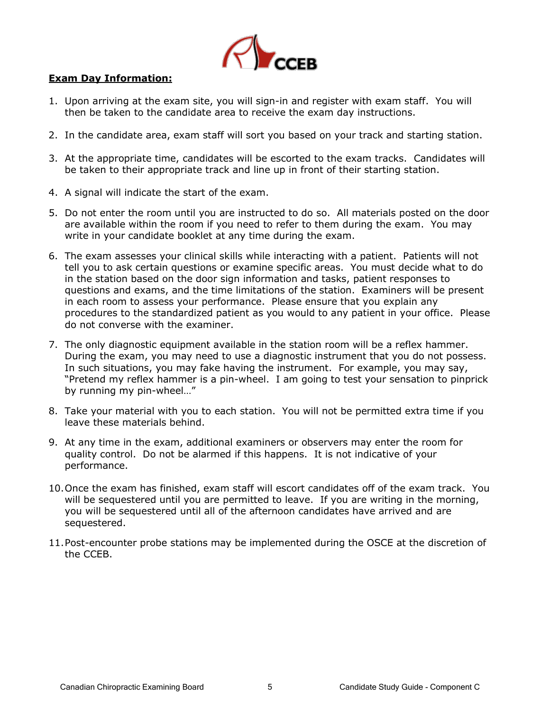

# **Exam Day Information:**

- 1. Upon arriving at the exam site, you will sign-in and register with exam staff. You will then be taken to the candidate area to receive the exam day instructions.
- 2. In the candidate area, exam staff will sort you based on your track and starting station.
- 3. At the appropriate time, candidates will be escorted to the exam tracks. Candidates will be taken to their appropriate track and line up in front of their starting station.
- 4. A signal will indicate the start of the exam.
- 5. Do not enter the room until you are instructed to do so. All materials posted on the door are available within the room if you need to refer to them during the exam. You may write in your candidate booklet at any time during the exam.
- 6. The exam assesses your clinical skills while interacting with a patient. Patients will not tell you to ask certain questions or examine specific areas. You must decide what to do in the station based on the door sign information and tasks, patient responses to questions and exams, and the time limitations of the station. Examiners will be present in each room to assess your performance. Please ensure that you explain any procedures to the standardized patient as you would to any patient in your office. Please do not converse with the examiner.
- 7. The only diagnostic equipment available in the station room will be a reflex hammer. During the exam, you may need to use a diagnostic instrument that you do not possess. In such situations, you may fake having the instrument. For example, you may say, "Pretend my reflex hammer is a pin-wheel. I am going to test your sensation to pinprick by running my pin-wheel…"
- 8. Take your material with you to each station. You will not be permitted extra time if you leave these materials behind.
- 9. At any time in the exam, additional examiners or observers may enter the room for quality control. Do not be alarmed if this happens. It is not indicative of your performance.
- 10.Once the exam has finished, exam staff will escort candidates off of the exam track. You will be sequestered until you are permitted to leave. If you are writing in the morning, you will be sequestered until all of the afternoon candidates have arrived and are sequestered.
- 11.Post-encounter probe stations may be implemented during the OSCE at the discretion of the CCEB.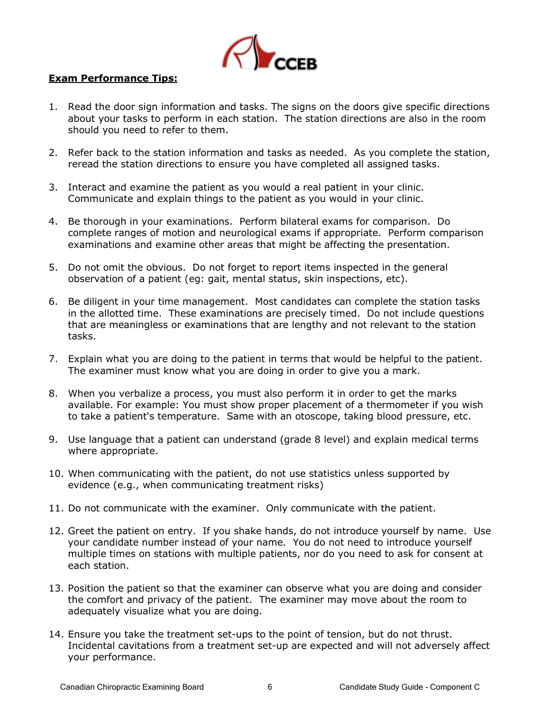

#### **Exam Performance Tips:**

- 1. Read the door sign information and tasks. The signs on the doors give specific directions about your tasks to perform in each station. The station directions are also in the room should you need to refer to them.
- 2. Refer back to the station information and tasks as needed. As you complete the station, reread the station directions to ensure you have completed all assigned tasks.
- 3. Interact and examine the patient as you would a real patient in your clinic. Communicate and explain things to the patient as you would in your clinic.
- 4. Be thorough in your examinations. Perform bilateral exams for comparison. Do complete ranges of motion and neurological exams if appropriate. Perform comparison examinations and examine other areas that might be affecting the presentation.
- 5. Do not omit the obvious. Do not forget to report items inspected in the general observation of a patient (eg: gait, mental status, skin inspections, etc).
- 6. Be diligent in your time management. Most candidates can complete the station tasks in the allotted time. These examinations are precisely timed. Do not include questions that are meaningless or examinations that are lengthy and not relevant to the station tasks.
- 7. Explain what you are doing to the patient in terms that would be helpful to the patient. The examiner must know what you are doing in order to give you a mark.
- 8. When you verbalize a process, you must also perform it in order to get the marks available. For example: You must show proper placement of a thermometer if you wish to take a patient's temperature. Same with an otoscope, taking blood pressure, etc.
- 9. Use language that a patient can understand (grade 8 level) and explain medical terms where appropriate.
- 10. When communicating with the patient, do not use statistics unless supported by evidence (e.g., when communicating treatment risks)
- 11. Do not communicate with the examiner. Only communicate with the patient.
- 12. Greet the patient on entry. If you shake hands, do not introduce yourself by name. Use your candidate number instead of your name. You do not need to introduce yourself multiple times on stations with multiple patients, nor do you need to ask for consent at each station.
- 13. Position the patient so that the examiner can observe what you are doing and consider the comfort and privacy of the patient. The examiner may move about the room to adequately visualize what you are doing.
- 14. Ensure you take the treatment set-ups to the point of tension, but do not thrust. Incidental cavitations from a treatment set-up are expected and will not adversely affect your performance.